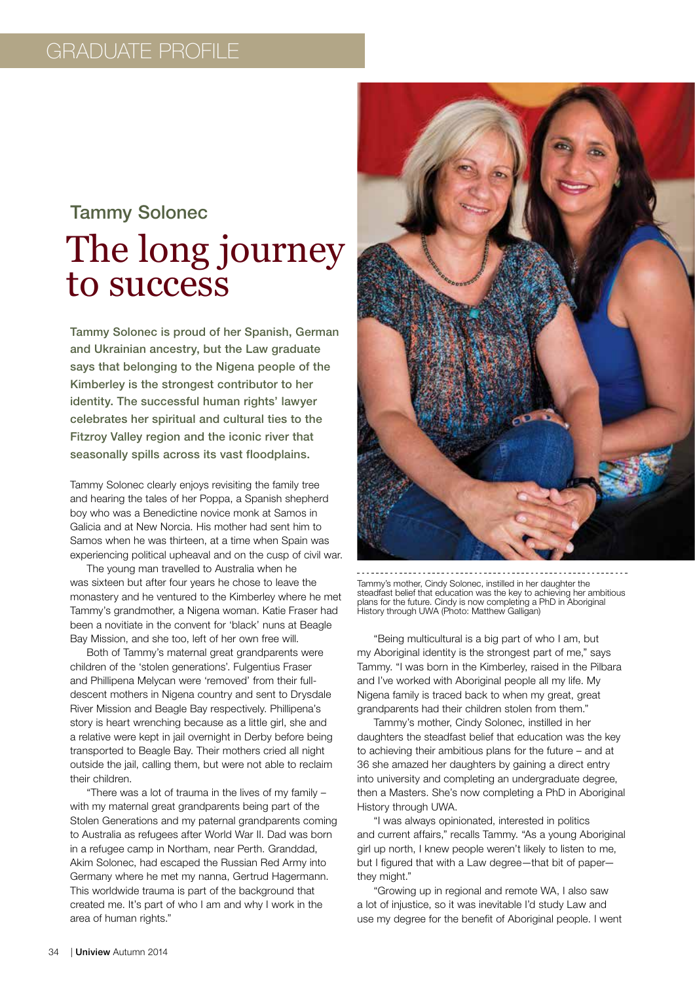## Tammy Solonec The long journey to success

Tammy Solonec is proud of her Spanish, German and Ukrainian ancestry, but the Law graduate says that belonging to the Nigena people of the Kimberley is the strongest contributor to her identity. The successful human rights' lawyer celebrates her spiritual and cultural ties to the Fitzroy Valley region and the iconic river that seasonally spills across its vast floodplains.

Tammy Solonec clearly enjoys revisiting the family tree and hearing the tales of her Poppa, a Spanish shepherd boy who was a Benedictine novice monk at Samos in Galicia and at New Norcia. His mother had sent him to Samos when he was thirteen, at a time when Spain was experiencing political upheaval and on the cusp of civil war.

The young man travelled to Australia when he was sixteen but after four years he chose to leave the monastery and he ventured to the Kimberley where he met Tammy's grandmother, a Nigena woman. Katie Fraser had been a novitiate in the convent for 'black' nuns at Beagle Bay Mission, and she too, left of her own free will.

Both of Tammy's maternal great grandparents were children of the 'stolen generations'. Fulgentius Fraser and Phillipena Melycan were 'removed' from their fulldescent mothers in Nigena country and sent to Drysdale River Mission and Beagle Bay respectively. Phillipena's story is heart wrenching because as a little girl, she and a relative were kept in jail overnight in Derby before being transported to Beagle Bay. Their mothers cried all night outside the jail, calling them, but were not able to reclaim their children.

"There was a lot of trauma in the lives of my family – with my maternal great grandparents being part of the Stolen Generations and my paternal grandparents coming to Australia as refugees after World War II. Dad was born in a refugee camp in Northam, near Perth. Granddad, Akim Solonec, had escaped the Russian Red Army into Germany where he met my nanna, Gertrud Hagermann. This worldwide trauma is part of the background that created me. It's part of who I am and why I work in the area of human rights."



Tammy's mother, Cindy Solonec, instilled in her daughter the steadfast belief that education was the key to achieving her ambitious plans for the future. Cindy is now completing a PhD in Aboriginal History through UWA (Photo: Matthew Galligan)

"Being multicultural is a big part of who I am, but my Aboriginal identity is the strongest part of me," says Tammy. "I was born in the Kimberley, raised in the Pilbara and I've worked with Aboriginal people all my life. My Nigena family is traced back to when my great, great grandparents had their children stolen from them."

Tammy's mother, Cindy Solonec, instilled in her daughters the steadfast belief that education was the key to achieving their ambitious plans for the future – and at 36 she amazed her daughters by gaining a direct entry into university and completing an undergraduate degree, then a Masters. She's now completing a PhD in Aboriginal History through UWA.

"I was always opinionated, interested in politics and current affairs," recalls Tammy. "As a young Aboriginal girl up north, I knew people weren't likely to listen to me, but I figured that with a Law degree—that bit of paper they might."

"Growing up in regional and remote WA, I also saw a lot of injustice, so it was inevitable I'd study Law and use my degree for the benefit of Aboriginal people. I went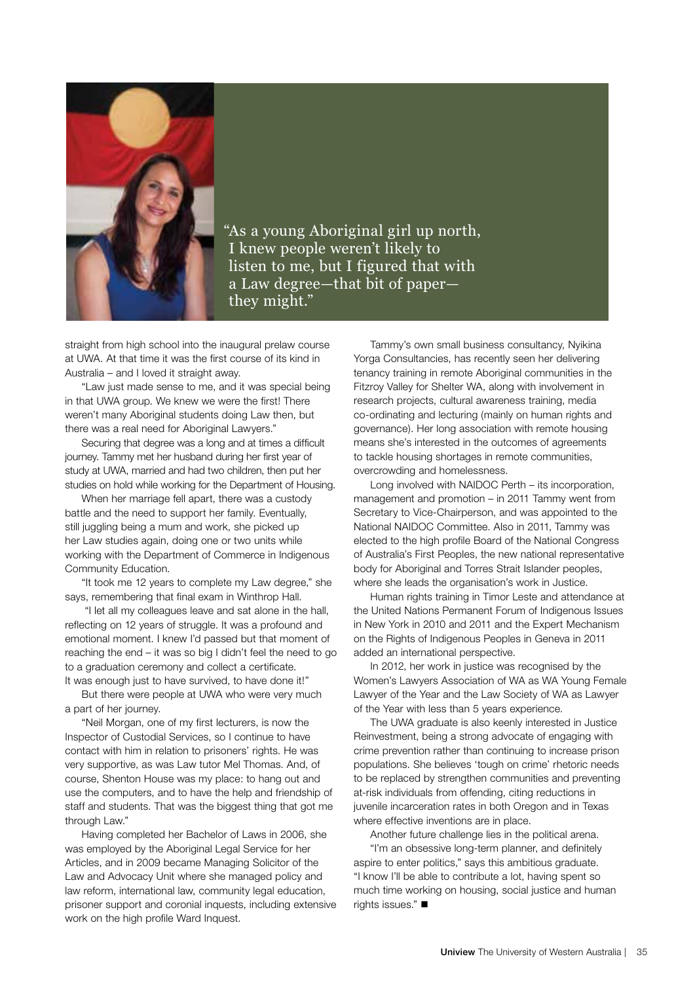

"As a young Aboriginal girl up north, I knew people weren't likely to listen to me, but I figured that with a Law degree—that bit of paper they might."

straight from high school into the inaugural prelaw course at UWA. At that time it was the first course of its kind in Australia – and I loved it straight away.

"Law just made sense to me, and it was special being in that UWA group. We knew we were the first! There weren't many Aboriginal students doing Law then, but there was a real need for Aboriginal Lawyers."

Securing that degree was a long and at times a difficult journey. Tammy met her husband during her first year of study at UWA, married and had two children, then put her studies on hold while working for the Department of Housing.

When her marriage fell apart, there was a custody battle and the need to support her family. Eventually, still juggling being a mum and work, she picked up her Law studies again, doing one or two units while working with the Department of Commerce in Indigenous Community Education.

"It took me 12 years to complete my Law degree," she says, remembering that final exam in Winthrop Hall.

 "I let all my colleagues leave and sat alone in the hall, reflecting on 12 years of struggle. It was a profound and emotional moment. I knew I'd passed but that moment of reaching the end – it was so big I didn't feel the need to go to a graduation ceremony and collect a certificate. It was enough just to have survived, to have done it!"

But there were people at UWA who were very much a part of her journey.

"Neil Morgan, one of my first lecturers, is now the Inspector of Custodial Services, so I continue to have contact with him in relation to prisoners' rights. He was very supportive, as was Law tutor Mel Thomas. And, of course, Shenton House was my place: to hang out and use the computers, and to have the help and friendship of staff and students. That was the biggest thing that got me through Law."

Having completed her Bachelor of Laws in 2006, she was employed by the Aboriginal Legal Service for her Articles, and in 2009 became Managing Solicitor of the Law and Advocacy Unit where she managed policy and law reform, international law, community legal education, prisoner support and coronial inquests, including extensive work on the high profile Ward Inquest.

Tammy's own small business consultancy, Nyikina Yorga Consultancies, has recently seen her delivering tenancy training in remote Aboriginal communities in the Fitzroy Valley for Shelter WA, along with involvement in research projects, cultural awareness training, media co-ordinating and lecturing (mainly on human rights and governance). Her long association with remote housing means she's interested in the outcomes of agreements to tackle housing shortages in remote communities, overcrowding and homelessness.

Long involved with NAIDOC Perth – its incorporation, management and promotion – in 2011 Tammy went from Secretary to Vice-Chairperson, and was appointed to the National NAIDOC Committee. Also in 2011, Tammy was elected to the high profile Board of the National Congress of Australia's First Peoples, the new national representative body for Aboriginal and Torres Strait Islander peoples, where she leads the organisation's work in Justice.

Human rights training in Timor Leste and attendance at the United Nations Permanent Forum of Indigenous Issues in New York in 2010 and 2011 and the Expert Mechanism on the Rights of Indigenous Peoples in Geneva in 2011 added an international perspective.

In 2012, her work in justice was recognised by the Women's Lawyers Association of WA as WA Young Female Lawyer of the Year and the Law Society of WA as Lawyer of the Year with less than 5 years experience.

The UWA graduate is also keenly interested in Justice Reinvestment, being a strong advocate of engaging with crime prevention rather than continuing to increase prison populations. She believes 'tough on crime' rhetoric needs to be replaced by strengthen communities and preventing at-risk individuals from offending, citing reductions in juvenile incarceration rates in both Oregon and in Texas where effective inventions are in place.

Another future challenge lies in the political arena.

"I'm an obsessive long-term planner, and definitely aspire to enter politics," says this ambitious graduate. "I know I'll be able to contribute a lot, having spent so much time working on housing, social justice and human rights issues." $\blacksquare$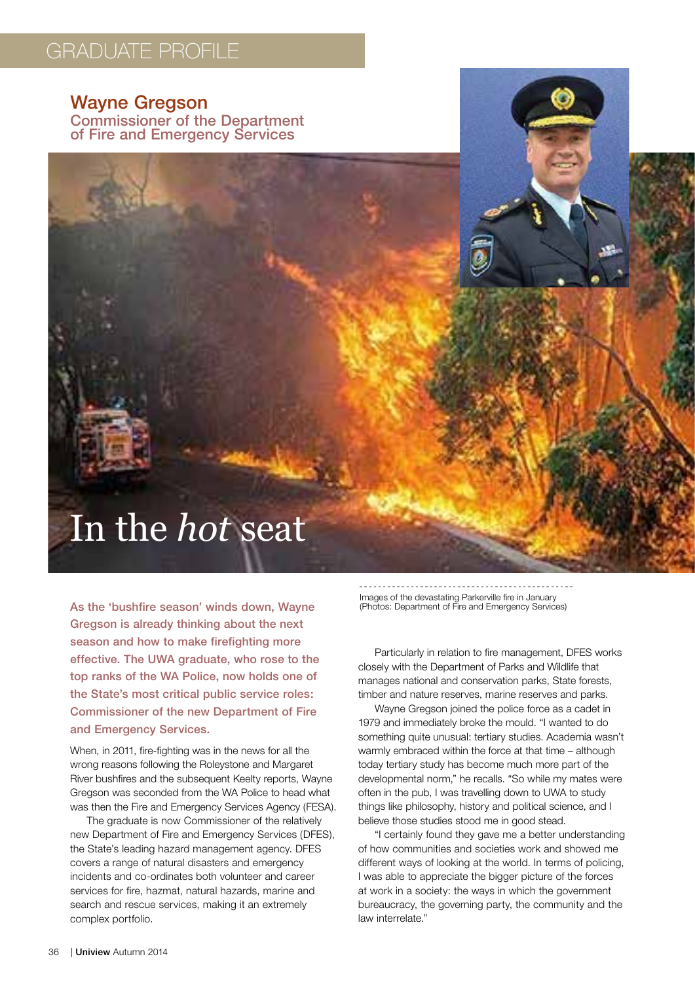### graduate profile

Wayne Gregson Commissioner of the Department of Fire and Emergency Services

## In the *hot* seat

As the 'bushfire season' winds down, Wayne Gregson is already thinking about the next season and how to make firefighting more effective. The UWA graduate, who rose to the top ranks of the WA Police, now holds one of the State's most critical public service roles: Commissioner of the new Department of Fire and Emergency Services.

When, in 2011, fire-fighting was in the news for all the wrong reasons following the Roleystone and Margaret River bushfires and the subsequent Keelty reports, Wayne Gregson was seconded from the WA Police to head what was then the Fire and Emergency Services Agency (FESA).

The graduate is now Commissioner of the relatively new Department of Fire and Emergency Services (DFES), the State's leading hazard management agency. DFES covers a range of natural disasters and emergency incidents and co-ordinates both volunteer and career services for fire, hazmat, natural hazards, marine and search and rescue services, making it an extremely complex portfolio.

Images of the devastating Parkerville fire in January (Photos: Department of Fire and Emergency Services)

Particularly in relation to fire management, DFES works closely with the Department of Parks and Wildlife that manages national and conservation parks, State forests, timber and nature reserves, marine reserves and parks.

Wayne Gregson joined the police force as a cadet in 1979 and immediately broke the mould. "I wanted to do something quite unusual: tertiary studies. Academia wasn't warmly embraced within the force at that time – although today tertiary study has become much more part of the developmental norm," he recalls. "So while my mates were often in the pub, I was travelling down to UWA to study things like philosophy, history and political science, and I believe those studies stood me in good stead.

"I certainly found they gave me a better understanding of how communities and societies work and showed me different ways of looking at the world. In terms of policing, I was able to appreciate the bigger picture of the forces at work in a society: the ways in which the government bureaucracy, the governing party, the community and the law interrelate."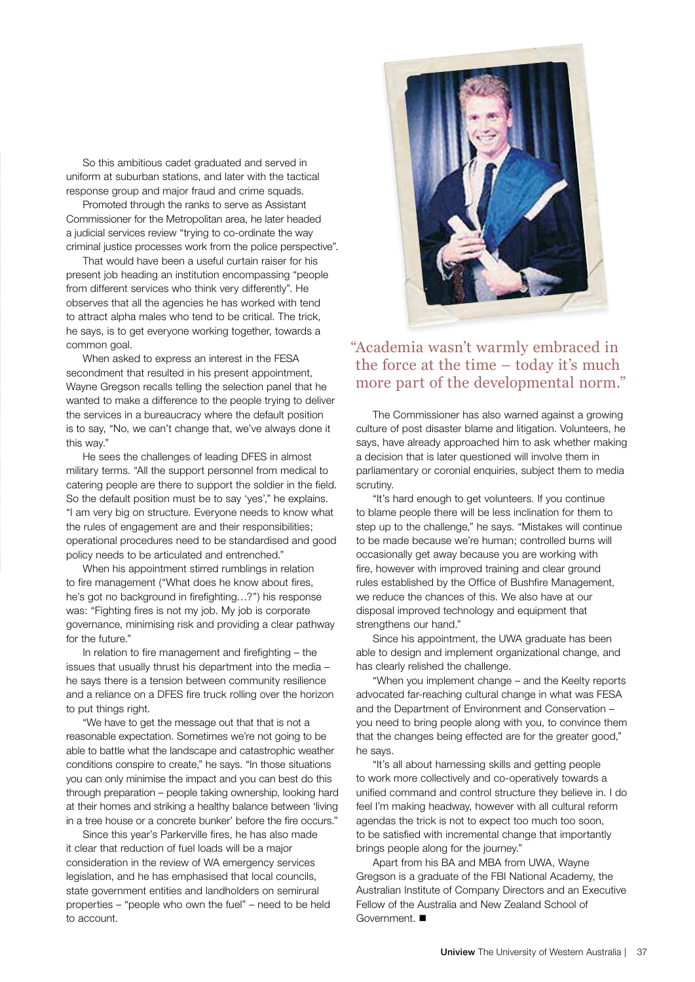So this ambitious cadet graduated and served in uniform at suburban stations, and later with the tactical response group and major fraud and crime squads.

Promoted through the ranks to serve as Assistant Commissioner for the Metropolitan area, he later headed a judicial services review "trying to co-ordinate the way criminal justice processes work from the police perspective".

That would have been a useful curtain raiser for his present job heading an institution encompassing "people from different services who think very differently". He observes that all the agencies he has worked with tend to attract alpha males who tend to be critical. The trick, he says, is to get everyone working together, towards a common goal.

When asked to express an interest in the FESA secondment that resulted in his present appointment, Wayne Gregson recalls telling the selection panel that he wanted to make a difference to the people trying to deliver the services in a bureaucracy where the default position is to say, "No, we can't change that, we've always done it this way."

He sees the challenges of leading DFES in almost military terms. "All the support personnel from medical to catering people are there to support the soldier in the field. So the default position must be to say 'yes'," he explains. "I am very big on structure. Everyone needs to know what the rules of engagement are and their responsibilities; operational procedures need to be standardised and good policy needs to be articulated and entrenched."

When his appointment stirred rumblings in relation to fire management ("What does he know about fires, he's got no background in firefighting…?") his response was: "Fighting fires is not my job. My job is corporate governance, minimising risk and providing a clear pathway for the future."

In relation to fire management and firefighting – the issues that usually thrust his department into the media – he says there is a tension between community resilience and a reliance on a DFES fire truck rolling over the horizon to put things right.

"We have to get the message out that that is not a reasonable expectation. Sometimes we're not going to be able to battle what the landscape and catastrophic weather conditions conspire to create," he says. "In those situations you can only minimise the impact and you can best do this through preparation – people taking ownership, looking hard at their homes and striking a healthy balance between 'living in a tree house or a concrete bunker' before the fire occurs."

Since this year's Parkerville fires, he has also made it clear that reduction of fuel loads will be a major consideration in the review of WA emergency services legislation, and he has emphasised that local councils, state government entities and landholders on semirural properties – "people who own the fuel" – need to be held to account.



#### " Academia wasn't warmly embraced in the force at the time – today it's much more part of the developmental norm."

The Commissioner has also warned against a growing culture of post disaster blame and litigation. Volunteers, he says, have already approached him to ask whether making a decision that is later questioned will involve them in parliamentary or coronial enquiries, subject them to media scrutiny.

"It's hard enough to get volunteers. If you continue to blame people there will be less inclination for them to step up to the challenge," he says. "Mistakes will continue to be made because we're human; controlled burns will occasionally get away because you are working with fire, however with improved training and clear ground rules established by the Office of Bushfire Management, we reduce the chances of this. We also have at our disposal improved technology and equipment that strengthens our hand."

Since his appointment, the UWA graduate has been able to design and implement organizational change, and has clearly relished the challenge.

"When you implement change – and the Keelty reports advocated far-reaching cultural change in what was FESA and the Department of Environment and Conservation – you need to bring people along with you, to convince them that the changes being effected are for the greater good," he says.

"It's all about harnessing skills and getting people to work more collectively and co-operatively towards a unified command and control structure they believe in. I do feel I'm making headway, however with all cultural reform agendas the trick is not to expect too much too soon, to be satisfied with incremental change that importantly brings people along for the journey."

Apart from his BA and MBA from UWA, Wayne Gregson is a graduate of the FBI National Academy, the Australian Institute of Company Directors and an Executive Fellow of the Australia and New Zealand School of Government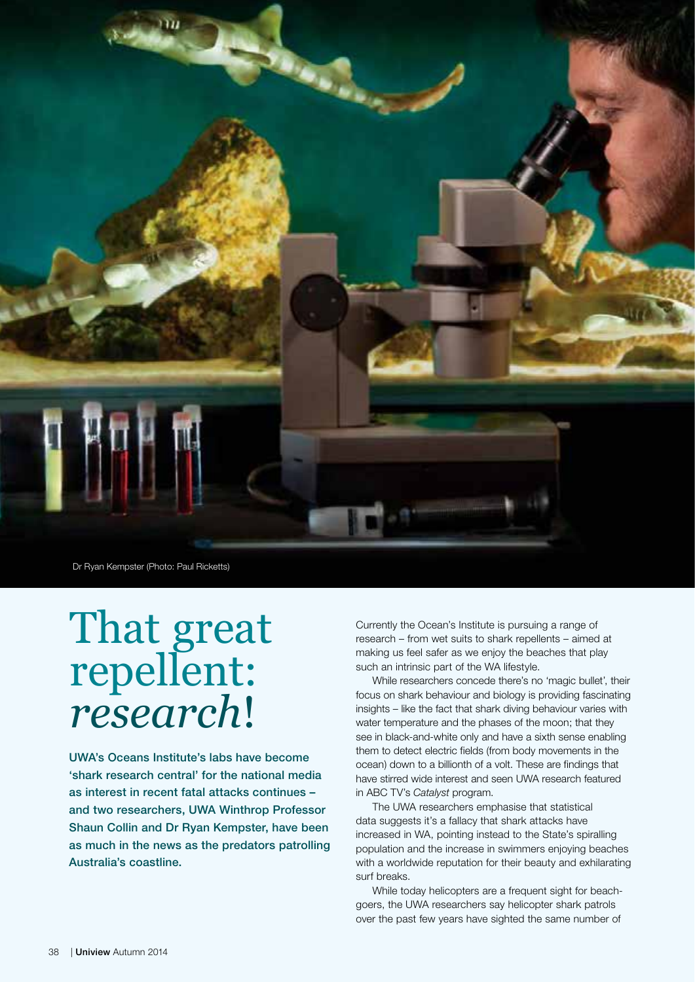

Dr Ryan Kempster (Photo: Paul Ricketts)

# That great repellent: *research*!

UWA's Oceans Institute's labs have become 'shark research central' for the national media as interest in recent fatal attacks continues – and two researchers, UWA Winthrop Professor Shaun Collin and Dr Ryan Kempster, have been as much in the news as the predators patrolling Australia's coastline.

Currently the Ocean's Institute is pursuing a range of research – from wet suits to shark repellents – aimed at making us feel safer as we enjoy the beaches that play such an intrinsic part of the WA lifestyle.

While researchers concede there's no 'magic bullet', their focus on shark behaviour and biology is providing fascinating insights – like the fact that shark diving behaviour varies with water temperature and the phases of the moon; that they see in black-and-white only and have a sixth sense enabling them to detect electric fields (from body movements in the ocean) down to a billionth of a volt. These are findings that have stirred wide interest and seen UWA research featured in ABC TV's *Catalyst* program.

The UWA researchers emphasise that statistical data suggests it's a fallacy that shark attacks have increased in WA, pointing instead to the State's spiralling population and the increase in swimmers enjoying beaches with a worldwide reputation for their beauty and exhilarating surf breaks.

While today helicopters are a frequent sight for beachgoers, the UWA researchers say helicopter shark patrols over the past few years have sighted the same number of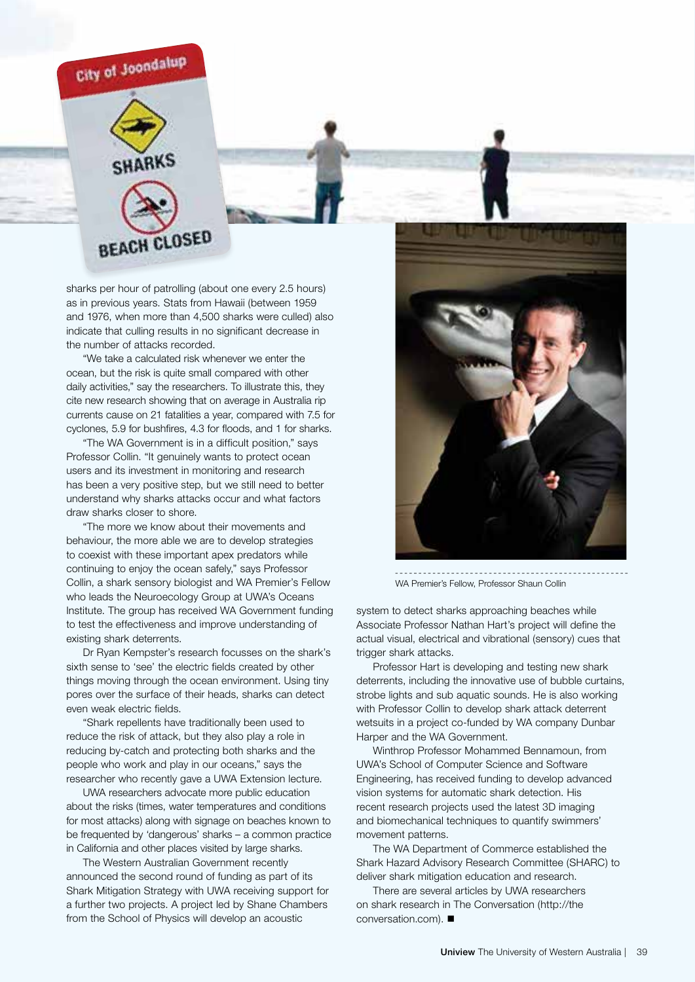

SHARKS **BEACH CLOSED** 

sharks per hour of patrolling (about one every 2.5 hours) as in previous years. Stats from Hawaii (between 1959 and 1976, when more than 4,500 sharks were culled) also indicate that culling results in no significant decrease in the number of attacks recorded.

"We take a calculated risk whenever we enter the ocean, but the risk is quite small compared with other daily activities," say the researchers. To illustrate this, they cite new research showing that on average in Australia rip currents cause on 21 fatalities a year, compared with 7.5 for cyclones, 5.9 for bushfires, 4.3 for floods, and 1 for sharks.

"The WA Government is in a difficult position," says Professor Collin. "It genuinely wants to protect ocean users and its investment in monitoring and research has been a very positive step, but we still need to better understand why sharks attacks occur and what factors draw sharks closer to shore.

"The more we know about their movements and behaviour, the more able we are to develop strategies to coexist with these important apex predators while continuing to enjoy the ocean safely," says Professor Collin, a shark sensory biologist and WA Premier's Fellow who leads the Neuroecology Group at UWA's Oceans Institute. The group has received WA Government funding to test the effectiveness and improve understanding of existing shark deterrents.

Dr Ryan Kempster's research focusses on the shark's sixth sense to 'see' the electric fields created by other things moving through the ocean environment. Using tiny pores over the surface of their heads, sharks can detect even weak electric fields.

"Shark repellents have traditionally been used to reduce the risk of attack, but they also play a role in reducing by-catch and protecting both sharks and the people who work and play in our oceans," says the researcher who recently gave a UWA Extension lecture.

UWA researchers advocate more public education about the risks (times, water temperatures and conditions for most attacks) along with signage on beaches known to be frequented by 'dangerous' sharks – a common practice in California and other places visited by large sharks.

The Western Australian Government recently announced the second round of funding as part of its Shark Mitigation Strategy with UWA receiving support for a further two projects. A project led by Shane Chambers from the School of Physics will develop an acoustic



WA Premier's Fellow, Professor Shaun Collin

system to detect sharks approaching beaches while Associate Professor Nathan Hart's project will define the actual visual, electrical and vibrational (sensory) cues that trigger shark attacks.

Professor Hart is developing and testing new shark deterrents, including the innovative use of bubble curtains, strobe lights and sub aquatic sounds. He is also working with Professor Collin to develop shark attack deterrent wetsuits in a project co-funded by WA company Dunbar Harper and the WA Government.

Winthrop Professor Mohammed Bennamoun, from UWA's School of Computer Science and Software Engineering, has received funding to develop advanced vision systems for automatic shark detection. His recent research projects used the latest 3D imaging and biomechanical techniques to quantify swimmers' movement patterns.

The WA Department of Commerce established the Shark Hazard Advisory Research Committee (SHARC) to deliver shark mitigation education and research.

There are several articles by UWA researchers on shark research in The Conversation (http://the conversation.com).  $\blacksquare$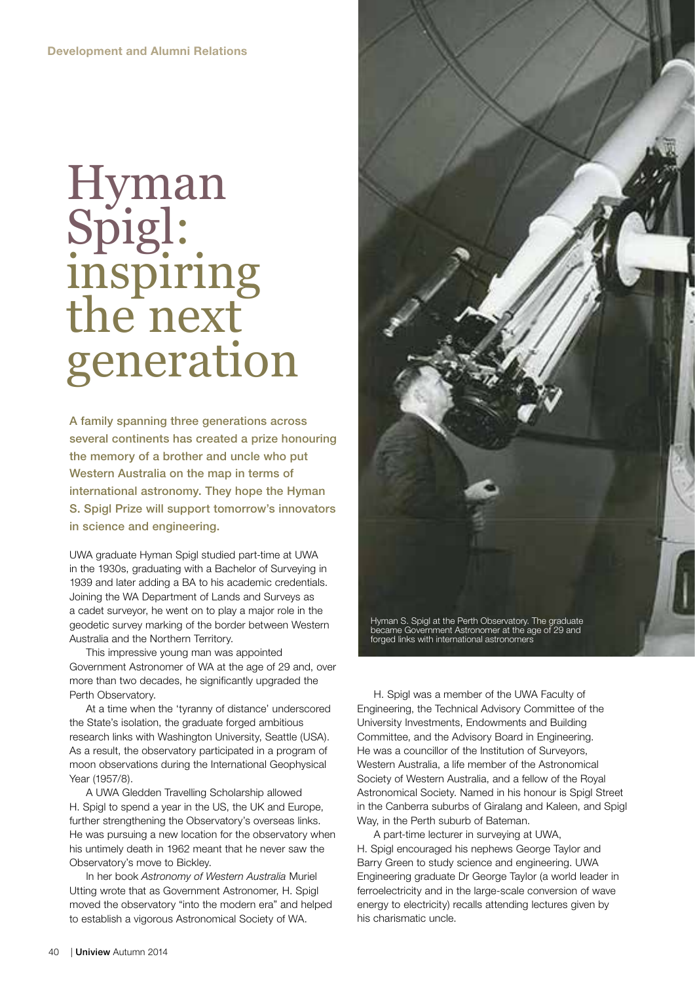# Hyman Spigl: inspiring the next generation

A family spanning three generations across several continents has created a prize honouring the memory of a brother and uncle who put Western Australia on the map in terms of international astronomy. They hope the Hyman S. Spigl Prize will support tomorrow's innovators in science and engineering.

UWA graduate Hyman Spigl studied part-time at UWA in the 1930s, graduating with a Bachelor of Surveying in 1939 and later adding a BA to his academic credentials. Joining the WA Department of Lands and Surveys as a cadet surveyor, he went on to play a major role in the geodetic survey marking of the border between Western Australia and the Northern Territory.

This impressive young man was appointed Government Astronomer of WA at the age of 29 and, over more than two decades, he significantly upgraded the Perth Observatory.

At a time when the 'tyranny of distance' underscored the State's isolation, the graduate forged ambitious research links with Washington University, Seattle (USA). As a result, the observatory participated in a program of moon observations during the International Geophysical Year (1957/8).

A UWA Gledden Travelling Scholarship allowed H. Spigl to spend a year in the US, the UK and Europe, further strengthening the Observatory's overseas links. He was pursuing a new location for the observatory when his untimely death in 1962 meant that he never saw the Observatory's move to Bickley.

In her book *Astronomy of Western Australia* Muriel Utting wrote that as Government Astronomer, H. Spigl moved the observatory "into the modern era" and helped to establish a vigorous Astronomical Society of WA.



H. Spigl was a member of the UWA Faculty of Engineering, the Technical Advisory Committee of the University Investments, Endowments and Building Committee, and the Advisory Board in Engineering. He was a councillor of the Institution of Surveyors, Western Australia, a life member of the Astronomical Society of Western Australia, and a fellow of the Royal Astronomical Society. Named in his honour is Spigl Street in the Canberra suburbs of Giralang and Kaleen, and Spigl Way, in the Perth suburb of Bateman.

A part-time lecturer in surveying at UWA, H. Spigl encouraged his nephews George Taylor and Barry Green to study science and engineering. UWA Engineering graduate Dr George Taylor (a world leader in ferroelectricity and in the large-scale conversion of wave energy to electricity) recalls attending lectures given by his charismatic uncle.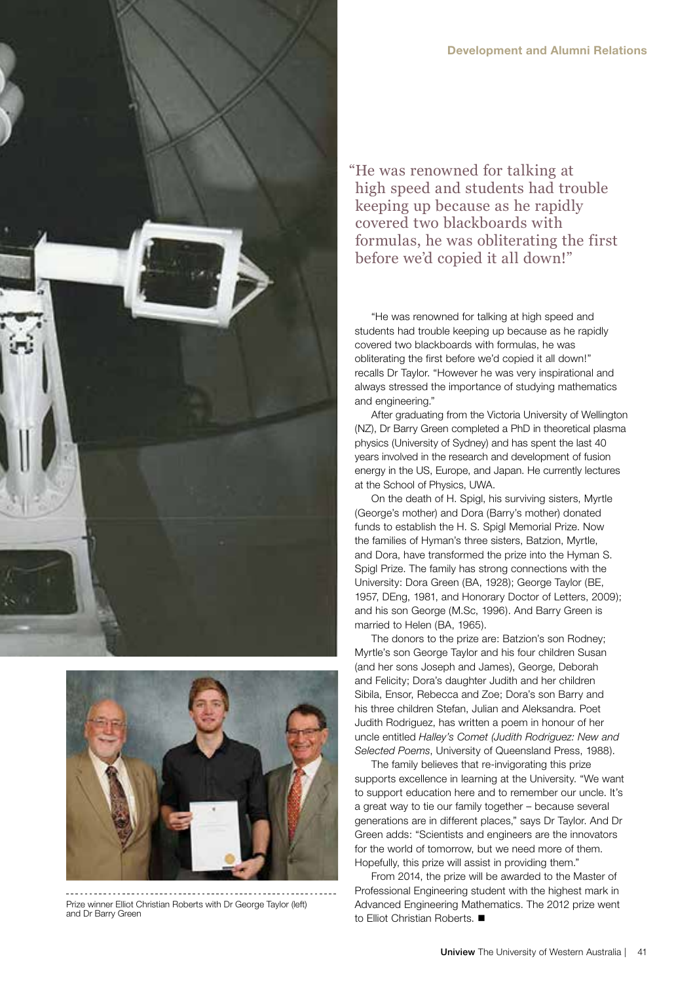



Prize winner Elliot Christian Roberts with Dr George Taylor (left) and Dr Barry Green

"He was renowned for talking at high speed and students had trouble keeping up because as he rapidly covered two blackboards with formulas, he was obliterating the first before we'd copied it all down!"

"He was renowned for talking at high speed and students had trouble keeping up because as he rapidly covered two blackboards with formulas, he was obliterating the first before we'd copied it all down!" recalls Dr Taylor. "However he was very inspirational and always stressed the importance of studying mathematics and engineering."

After graduating from the Victoria University of Wellington (NZ), Dr Barry Green completed a PhD in theoretical plasma physics (University of Sydney) and has spent the last 40 years involved in the research and development of fusion energy in the US, Europe, and Japan. He currently lectures at the School of Physics, UWA.

On the death of H. Spigl, his surviving sisters, Myrtle (George's mother) and Dora (Barry's mother) donated funds to establish the H. S. Spigl Memorial Prize. Now the families of Hyman's three sisters, Batzion, Myrtle, and Dora, have transformed the prize into the Hyman S. Spigl Prize. The family has strong connections with the University: Dora Green (BA, 1928); George Taylor (BE, 1957, DEng, 1981, and Honorary Doctor of Letters, 2009); and his son George (M.Sc, 1996). And Barry Green is married to Helen (BA, 1965).

The donors to the prize are: Batzion's son Rodney; Myrtle's son George Taylor and his four children Susan (and her sons Joseph and James), George, Deborah and Felicity; Dora's daughter Judith and her children Sibila, Ensor, Rebecca and Zoe; Dora's son Barry and his three children Stefan, Julian and Aleksandra. Poet Judith Rodriguez, has written a poem in honour of her uncle entitled *Halley's Comet (Judith Rodriguez: New and Selected Poems*, University of Queensland Press, 1988).

The family believes that re-invigorating this prize supports excellence in learning at the University. "We want to support education here and to remember our uncle. It's a great way to tie our family together – because several generations are in different places," says Dr Taylor. And Dr Green adds: "Scientists and engineers are the innovators for the world of tomorrow, but we need more of them. Hopefully, this prize will assist in providing them."

From 2014, the prize will be awarded to the Master of Professional Engineering student with the highest mark in Advanced Engineering Mathematics. The 2012 prize went to Elliot Christian Roberts.  $\blacksquare$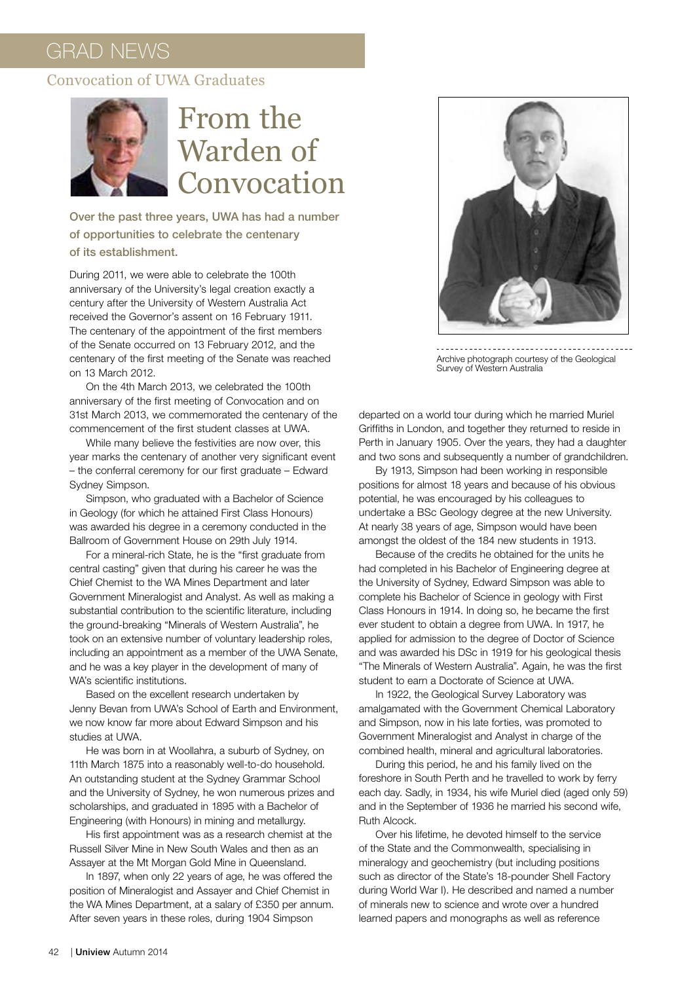#### Convocation of UWA Graduates



## From the Warden of Convocation

Over the past three years, UWA has had a number of opportunities to celebrate the centenary of its establishment.

During 2011, we were able to celebrate the 100th anniversary of the University's legal creation exactly a century after the University of Western Australia Act received the Governor's assent on 16 February 1911. The centenary of the appointment of the first members of the Senate occurred on 13 February 2012, and the centenary of the first meeting of the Senate was reached on 13 March 2012.

On the 4th March 2013, we celebrated the 100th anniversary of the first meeting of Convocation and on 31st March 2013, we commemorated the centenary of the commencement of the first student classes at UWA.

While many believe the festivities are now over, this year marks the centenary of another very significant event – the conferral ceremony for our first graduate – Edward Sydney Simpson.

Simpson, who graduated with a Bachelor of Science in Geology (for which he attained First Class Honours) was awarded his degree in a ceremony conducted in the Ballroom of Government House on 29th July 1914.

For a mineral-rich State, he is the "first graduate from central casting" given that during his career he was the Chief Chemist to the WA Mines Department and later Government Mineralogist and Analyst. As well as making a substantial contribution to the scientific literature, including the ground-breaking "Minerals of Western Australia", he took on an extensive number of voluntary leadership roles, including an appointment as a member of the UWA Senate, and he was a key player in the development of many of WA's scientific institutions.

Based on the excellent research undertaken by Jenny Bevan from UWA's School of Earth and Environment, we now know far more about Edward Simpson and his studies at UWA.

He was born in at Woollahra, a suburb of Sydney, on 11th March 1875 into a reasonably well-to-do household. An outstanding student at the Sydney Grammar School and the University of Sydney, he won numerous prizes and scholarships, and graduated in 1895 with a Bachelor of Engineering (with Honours) in mining and metallurgy.

His first appointment was as a research chemist at the Russell Silver Mine in New South Wales and then as an Assayer at the Mt Morgan Gold Mine in Queensland.

In 1897, when only 22 years of age, he was offered the position of Mineralogist and Assayer and Chief Chemist in the WA Mines Department, at a salary of £350 per annum. After seven years in these roles, during 1904 Simpson



Archive photograph courtesy of the Geological Survey of Western Australia

departed on a world tour during which he married Muriel Griffiths in London, and together they returned to reside in Perth in January 1905. Over the years, they had a daughter and two sons and subsequently a number of grandchildren.

By 1913, Simpson had been working in responsible positions for almost 18 years and because of his obvious potential, he was encouraged by his colleagues to undertake a BSc Geology degree at the new University. At nearly 38 years of age, Simpson would have been amongst the oldest of the 184 new students in 1913.

Because of the credits he obtained for the units he had completed in his Bachelor of Engineering degree at the University of Sydney, Edward Simpson was able to complete his Bachelor of Science in geology with First Class Honours in 1914. In doing so, he became the first ever student to obtain a degree from UWA. In 1917, he applied for admission to the degree of Doctor of Science and was awarded his DSc in 1919 for his geological thesis "The Minerals of Western Australia". Again, he was the first student to earn a Doctorate of Science at UWA.

In 1922, the Geological Survey Laboratory was amalgamated with the Government Chemical Laboratory and Simpson, now in his late forties, was promoted to Government Mineralogist and Analyst in charge of the combined health, mineral and agricultural laboratories.

During this period, he and his family lived on the foreshore in South Perth and he travelled to work by ferry each day. Sadly, in 1934, his wife Muriel died (aged only 59) and in the September of 1936 he married his second wife, Ruth Alcock.

Over his lifetime, he devoted himself to the service of the State and the Commonwealth, specialising in mineralogy and geochemistry (but including positions such as director of the State's 18-pounder Shell Factory during World War I). He described and named a number of minerals new to science and wrote over a hundred learned papers and monographs as well as reference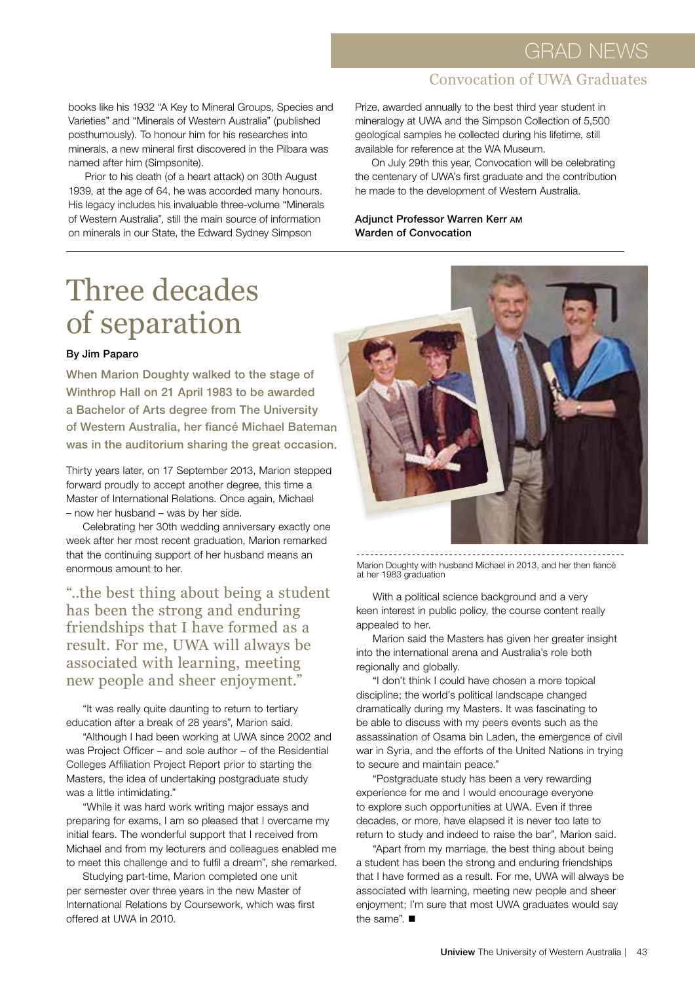#### Convocation of UWA Graduates

books like his 1932 "A Key to Mineral Groups, Species and Varieties" and "Minerals of Western Australia" (published posthumously). To honour him for his researches into minerals, a new mineral first discovered in the Pilbara was named after him (Simpsonite).

Prior to his death (of a heart attack) on 30th August 1939, at the age of 64, he was accorded many honours. His legacy includes his invaluable three-volume "Minerals of Western Australia", still the main source of information on minerals in our State, the Edward Sydney Simpson

Prize, awarded annually to the best third year student in mineralogy at UWA and the Simpson Collection of 5,500 geological samples he collected during his lifetime, still available for reference at the WA Museum.

On July 29th this year, Convocation will be celebrating the centenary of UWA's first graduate and the contribution he made to the development of Western Australia.

#### Adjunct Professor Warren Kerr AM Warden of Convocation

## Three decades of separation

#### By Jim Paparo

When Marion Doughty walked to the stage of Winthrop Hall on 21 April 1983 to be awarded a Bachelor of Arts degree from The University of Western Australia, her fiancé Michael Bateman was in the auditorium sharing the great occasion.

Thirty years later, on 17 September 2013, Marion stepped forward proudly to accept another degree, this time a Master of International Relations. Once again, Michael – now her husband – was by her side.

Celebrating her 30th wedding anniversary exactly one week after her most recent graduation, Marion remarked that the continuing support of her husband means an enormous amount to her.

"..the best thing about being a student has been the strong and enduring friendships that I have formed as a result. For me, UWA will always be associated with learning, meeting new people and sheer enjoyment."

"It was really quite daunting to return to tertiary education after a break of 28 years", Marion said.

"Although I had been working at UWA since 2002 and was Project Officer – and sole author – of the Residential Colleges Affiliation Project Report prior to starting the Masters, the idea of undertaking postgraduate study was a little intimidating."

"While it was hard work writing major essays and preparing for exams, I am so pleased that I overcame my initial fears. The wonderful support that I received from Michael and from my lecturers and colleagues enabled me to meet this challenge and to fulfil a dream", she remarked.

Studying part-time, Marion completed one unit per semester over three years in the new Master of International Relations by Coursework, which was first offered at UWA in 2010.



Marion Doughty with husband Michael in 2013, and her then fiancé at her 1983 graduation

With a political science background and a very keen interest in public policy, the course content really appealed to her.

Marion said the Masters has given her greater insight into the international arena and Australia's role both regionally and globally.

"I don't think I could have chosen a more topical discipline; the world's political landscape changed dramatically during my Masters. It was fascinating to be able to discuss with my peers events such as the assassination of Osama bin Laden, the emergence of civil war in Syria, and the efforts of the United Nations in trying to secure and maintain peace."

"Postgraduate study has been a very rewarding experience for me and I would encourage everyone to explore such opportunities at UWA. Even if three decades, or more, have elapsed it is never too late to return to study and indeed to raise the bar", Marion said.

"Apart from my marriage, the best thing about being a student has been the strong and enduring friendships that I have formed as a result. For me, UWA will always be associated with learning, meeting new people and sheer enjoyment; I'm sure that most UWA graduates would say the same".  $\blacksquare$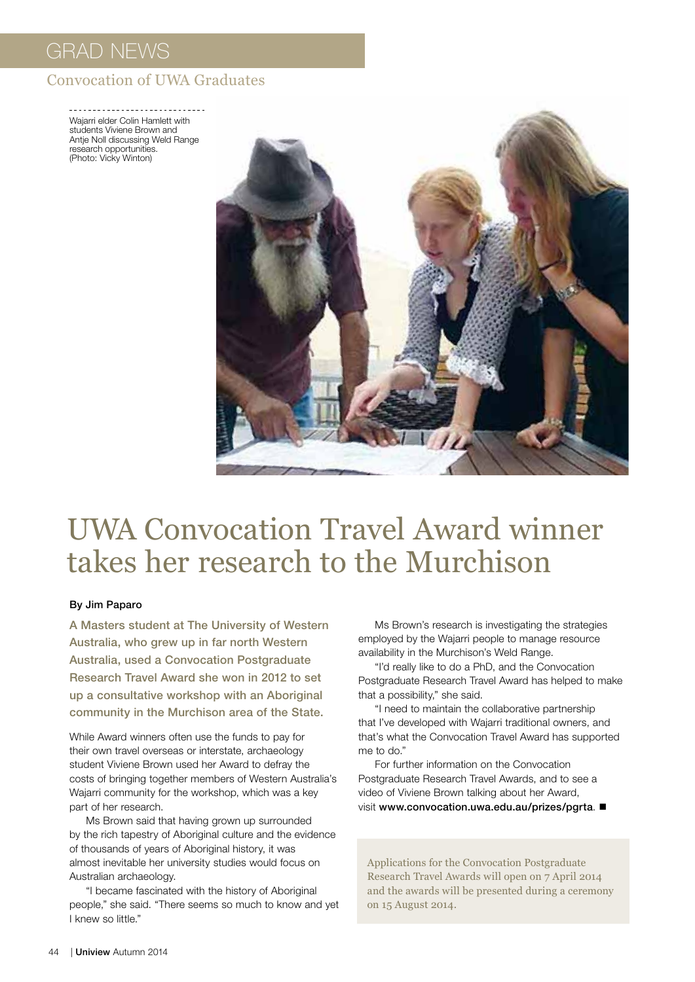#### Convocation of UWA Graduates

Wajarri elder Colin Hamlett with students Viviene Brown and Antje Noll discussing Weld Range research opportunities. (Photo: Vicky Winton)



## UWA Convocation Travel Award winner takes her research to the Murchison

#### By Jim Paparo

A Masters student at The University of Western Australia, who grew up in far north Western Australia, used a Convocation Postgraduate Research Travel Award she won in 2012 to set up a consultative workshop with an Aboriginal community in the Murchison area of the State.

While Award winners often use the funds to pay for their own travel overseas or interstate, archaeology student Viviene Brown used her Award to defray the costs of bringing together members of Western Australia's Wajarri community for the workshop, which was a key part of her research.

Ms Brown said that having grown up surrounded by the rich tapestry of Aboriginal culture and the evidence of thousands of years of Aboriginal history, it was almost inevitable her university studies would focus on Australian archaeology.

"I became fascinated with the history of Aboriginal people," she said. "There seems so much to know and yet I knew so little."

Ms Brown's research is investigating the strategies employed by the Wajarri people to manage resource availability in the Murchison's Weld Range.

"I'd really like to do a PhD, and the Convocation Postgraduate Research Travel Award has helped to make that a possibility," she said.

"I need to maintain the collaborative partnership that I've developed with Wajarri traditional owners, and that's what the Convocation Travel Award has supported me to do."

For further information on the Convocation Postgraduate Research Travel Awards, and to see a video of Viviene Brown talking about her Award, visit www.convocation.uwa.edu.au/prizes/pgrta.

Applications for the Convocation Postgraduate Research Travel Awards will open on 7 April 2014 and the awards will be presented during a ceremony on 15 August 2014.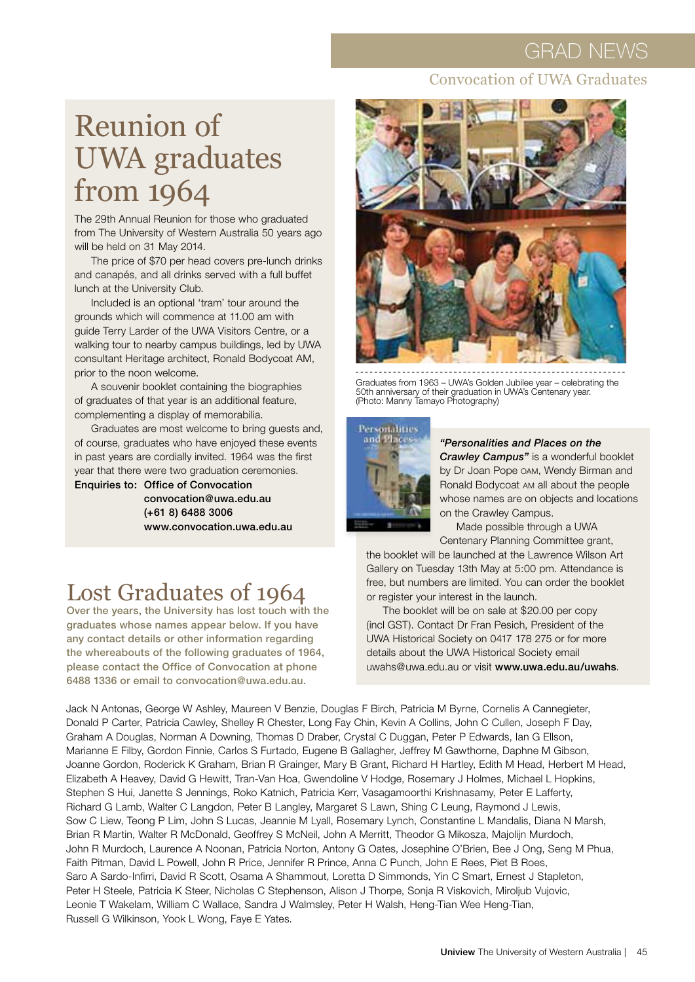#### Convocation of UWA Graduates

## Reunion of UWA graduates from 1964

The 29th Annual Reunion for those who graduated from The University of Western Australia 50 years ago will be held on 31 May 2014.

The price of \$70 per head covers pre-lunch drinks and canapés, and all drinks served with a full buffet lunch at the University Club.

Included is an optional 'tram' tour around the grounds which will commence at 11.00 am with guide Terry Larder of the UWA Visitors Centre, or a walking tour to nearby campus buildings, led by UWA consultant Heritage architect, Ronald Bodycoat AM, prior to the noon welcome.

A souvenir booklet containing the biographies of graduates of that year is an additional feature, complementing a display of memorabilia.

Graduates are most welcome to bring guests and, of course, graduates who have enjoyed these events in past years are cordially invited. 1964 was the first year that there were two graduation ceremonies.

Enquiries to: Office of Convocation

convocation@uwa.edu.au (+61 8) 6488 3006 www.convocation.uwa.edu.au



Graduates from 1963 – UWA's Golden Jubilee year – celebrating the 50th anniversary of their graduation in UWA's Centenary year. (Photo: Manny Tamayo Photography)



#### *"Personalities and Places on the*

*Crawley Campus"* is a wonderful booklet by Dr Joan Pope OAM, Wendy Birman and Ronald Bodycoat AM all about the people whose names are on objects and locations on the Crawley Campus.

Made possible through a UWA Centenary Planning Committee grant,

the booklet will be launched at the Lawrence Wilson Art Gallery on Tuesday 13th May at 5:00 pm. Attendance is free, but numbers are limited. You can order the booklet or register your interest in the launch.

The booklet will be on sale at \$20.00 per copy (incl GST). Contact Dr Fran Pesich, President of the UWA Historical Society on 0417 178 275 or for more details about the UWA Historical Society email uwahs@uwa.edu.au or visit www.uwa.edu.au/uwahs.

## Lost Graduates of 1964

Over the years, the University has lost touch with the graduates whose names appear below. If you have any contact details or other information regarding the whereabouts of the following graduates of 1964, please contact the Office of Convocation at phone 6488 1336 or email to convocation@uwa.edu.au.

Jack N Antonas, George W Ashley, Maureen V Benzie, Douglas F Birch, Patricia M Byrne, Cornelis A Cannegieter, Donald P Carter, Patricia Cawley, Shelley R Chester, Long Fay Chin, Kevin A Collins, John C Cullen, Joseph F Day, Graham A Douglas, Norman A Downing, Thomas D Draber, Crystal C Duggan, Peter P Edwards, Ian G Ellson, Marianne E Filby, Gordon Finnie, Carlos S Furtado, Eugene B Gallagher, Jeffrey M Gawthorne, Daphne M Gibson, Joanne Gordon, Roderick K Graham, Brian R Grainger, Mary B Grant, Richard H Hartley, Edith M Head, Herbert M Head, Elizabeth A Heavey, David G Hewitt, Tran-Van Hoa, Gwendoline V Hodge, Rosemary J Holmes, Michael L Hopkins, Stephen S Hui, Janette S Jennings, Roko Katnich, Patricia Kerr, Vasagamoorthi Krishnasamy, Peter E Lafferty, Richard G Lamb, Walter C Langdon, Peter B Langley, Margaret S Lawn, Shing C Leung, Raymond J Lewis, Sow C Liew, Teong P Lim, John S Lucas, Jeannie M Lyall, Rosemary Lynch, Constantine L Mandalis, Diana N Marsh, Brian R Martin, Walter R McDonald, Geoffrey S McNeil, John A Merritt, Theodor G Mikosza, Majolijn Murdoch, John R Murdoch, Laurence A Noonan, Patricia Norton, Antony G Oates, Josephine O'Brien, Bee J Ong, Seng M Phua, Faith Pitman, David L Powell, John R Price, Jennifer R Prince, Anna C Punch, John E Rees, Piet B Roes, Saro A Sardo-Infirri, David R Scott, Osama A Shammout, Loretta D Simmonds, Yin C Smart, Ernest J Stapleton, Peter H Steele, Patricia K Steer, Nicholas C Stephenson, Alison J Thorpe, Sonja R Viskovich, Miroljub Vujovic, Leonie T Wakelam, William C Wallace, Sandra J Walmsley, Peter H Walsh, Heng-Tian Wee Heng-Tian, Russell G Wilkinson, Yook L Wong, Faye E Yates.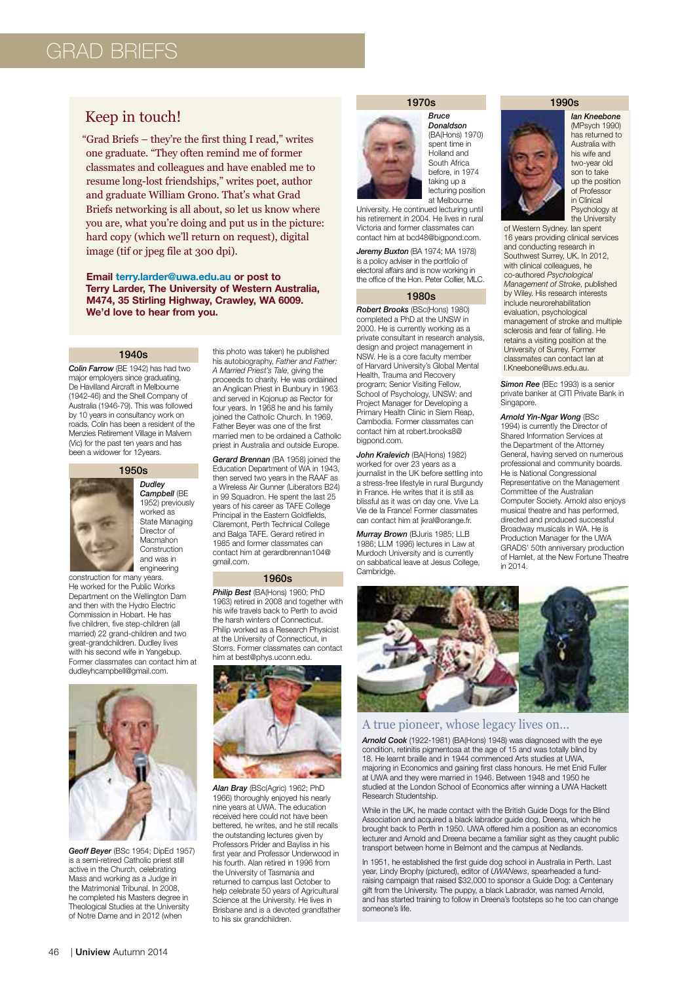### grad briefs

#### Keep in touch!

"Grad Briefs – they're the first thing I read," writes one graduate. "They often remind me of former classmates and colleagues and have enabled me to resume long-lost friendships," writes poet, author and graduate William Grono. That's what Grad Briefs networking is all about, so let us know where you are, what you're doing and put us in the picture: hard copy (which we'll return on request), digital image (tif or jpeg file at 300 dpi).

#### **Email terry.larder@uwa.edu.au or post to Terry Larder, The University of Western Australia, M474, 35 Stirling Highway, Crawley, WA 6009. We'd love to hear from you.**

#### 1940s

*Colin Farrow* (BE 1942) has had two major employers since graduating, De Havilland Aircraft in Melbourne (1942-46) and the Shell Company of Australia (1946-79). This was followed by 10 years in consultancy work on roads. Colin has been a resident of the Menzies Retirement Village in Malvern (Vic) for the past ten years and has been a widower for 12years.



*Dudley Campbell* (BE 1952) previously worked as State Managing Director of Macmahon Construction and was in engineering

construction for many years. He worked for the Public Works Department on the Wellington Dam and then with the Hydro Electric Commission in Hobart. He has five children, five step-children (all married) 22 grand-children and two great-grandchildren. Dudley lives with his second wife in Yangebup. Former classmates can contact him at dudleyhcampbell@gmail.com.



*Geoff Beyer* (BSc 1954; DipEd 1957) is a semi-retired Catholic priest still active in the Church, celebrating Mass and working as a Judge in the Matrimonial Tribunal. In 2008, he completed his Masters degree in Theological Studies at the University of Notre Dame and in 2012 (when

this photo was taken) he published his autobiography, *Father and Father: A Married Priest's Tale*, giving the proceeds to charity. He was ordained an Anglican Priest in Bunbury in 1963 and served in Kojonup as Rector for four years. In 1968 he and his family joined the Catholic Church. In 1969, Father Beyer was one of the first married men to be ordained a Catholic priest in Australia and outside Europe.

*Gerard Brennan* (BA 1958) joined the Education Department of WA in 1943, then served two years in the RAAF as a Wireless Air Gunner (Liberators B24) in 99 Squadron. He spent the last 25 years of his career as TAFE College Principal in the Eastern Goldfields, Claremont, Perth Technical College and Balga TAFE. Gerard retired in 1985 and former classmates can contact him at gerardbrennan104@ gmail.com.

#### 1960s

*Philip Best* (BA(Hons) 1960; PhD 1963) retired in 2008 and together with his wife travels back to Perth to avoid the harsh winters of Connecticut. Philip worked as a Research Physicist at the University of Connecticut, in Storrs. Former classmates can contact him at best@phys.uconn.edu.



*Alan Bray* (BSc(Agric) 1962; PhD 1966) thoroughly enjoyed his nearly nine years at UWA. The education received here could not have been bettered, he writes, and he still recalls the outstanding lectures given by Professors Prider and Bayliss in his first year and Professor Underwood in his fourth. Alan retired in 1996 from the University of Tasmania and returned to campus last October to help celebrate 50 years of Agricultural Science at the University. He lives in Brisbane and is a devoted grandfather to his six grandchildren.

#### 1970s

*Bruce* 



*Donaldson* (BA(Hons) 1970) spent time in Holland and South Africa before, in 1974 taking up a lecturing position at Melbourne

University. He continued lecturing until his retirement in 2004. He lives in rural Victoria and former classmates can contact him at bcd48@bigpond.com.

*Jeremy Buxton* (BA 1974; MA 1978) is a policy adviser in the portfolio of electoral affairs and is now working in the office of the Hon. Peter Collier, MLC.

#### 1980s

*Robert Brooks* (BSc(Hons) 1980) completed a PhD at the UNSW in 2000. He is currently working as a private consultant in research analysis, design and project management in NSW. He is a core faculty member of Harvard University's Global Mental Health, Trauma and Recovery program; Senior Visiting Fellow, School of Psychology, UNSW; and Project Manager for Developing a Primary Health Clinic in Siem Reap, Cambodia. Former classmates can contact him at robert.brooks8@ bigpond.com.

*John Kralevich* (BA(Hons) 1982) worked for over 23 years as a journalist in the UK before settling into a stress-free lifestyle in rural Burgundy in France. He writes that it is still as blissful as it was on day one. Vive La Vie de la France! Former classmates can contact him at jkral@orange.fr.

*Murray Brown* (BJuris 1985; LLB 1986; LLM 1996) lectures in Law at Murdoch University and is currently on sabbatical leave at Jesus College, Cambridge.

#### 1990s



*Ian Kneebone* (MPsych 1990) has returned to Australia with his wife and two-year old son to take up the position of Professor in Clinical Psychology at the University

of Western Sydney. Ian spent 16 years providing clinical services and conducting research in Southwest Surrey, UK. In 2012, with clinical colleagues, he co-authored *Psychological Management of Stroke*, published by Wiley. His research interests include neurorehabilitation evaluation, psychological management of stroke and multiple sclerosis and fear of falling. He retains a visiting position at the University of Surrey. Former classmates can contact Ian at I.Kneebone@uws.edu.au.

*Simon Ree* (BEc 1993) is a senior private banker at CITI Private Bank in Singapore.

*Arnold Yin-Ngar Wong* (BSc 1994) is currently the Director of Shared Information Services at the Department of the Attorney General, having served on numerous professional and community boards. He is National Congressional Representative on the Management Committee of the Australian Computer Society. Arnold also enjoys musical theatre and has performed, directed and produced successful Broadway musicals in WA. He is Production Manager for the UWA GRADS' 50th anniversary production of Hamlet, at the New Fortune Theatre in 2014.



#### A true pioneer, whose legacy lives on…

*Arnold Cook* (1922-1981) (BA(Hons) 1948) was diagnosed with the eye condition, retinitis pigmentosa at the age of 15 and was totally blind by 18. He learnt braille and in 1944 commenced Arts studies at UWA, majoring in Economics and gaining first class honours. He met Enid Fuller at UWA and they were married in 1946. Between 1948 and 1950 he studied at the London School of Economics after winning a UWA Hackett Research Studentship.

While in the UK, he made contact with the British Guide Dogs for the Blind Association and acquired a black labrador guide dog, Dreena, which he brought back to Perth in 1950. UWA offered him a position as an economics lecturer and Arnold and Dreena became a familiar sight as they caught public transport between home in Belmont and the campus at Nedlands.

In 1951, he established the first guide dog school in Australia in Perth. Last year, Lindy Brophy (pictured), editor of *UWANews*, spearheaded a fundraising campaign that raised \$32,000 to sponsor a Guide Dog: a Centenary gift from the University. The puppy, a black Labrador, was named Arnold, and has started training to follow in Dreena's footsteps so he too can change someone's life.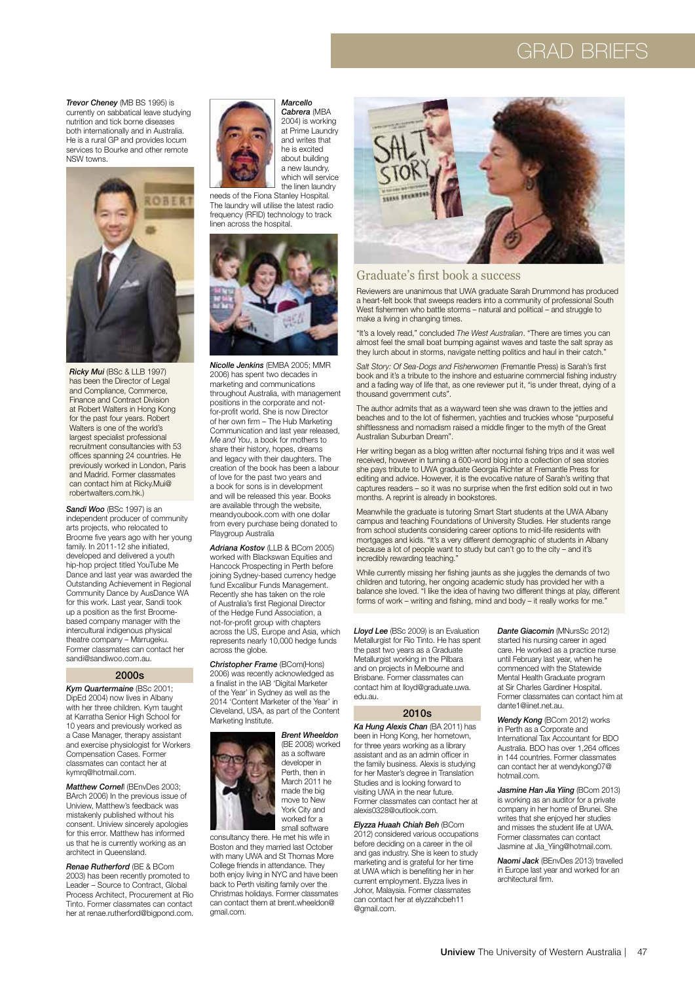### grad Briefs

*Trevor Cheney* (MB BS 1995) is currently on sabbatical leave studying nutrition and tick borne diseases both internationally and in Australia. He is a rural GP and provides locum services to Bourke and other remote NSW towns.



*Ricky Mui* (BSc & LLB 1997) has been the Director of Legal and Compliance, Commerce, Finance and Contract Division at Robert Walters in Hong Kong for the past four years. Robert Walters is one of the world's largest specialist professional recruitment consultancies with 53 offices spanning 24 countries. He previously worked in London, Paris and Madrid. Former classmates can contact him at Ricky.Mui@ robertwalters.com.hk.)

*Sandi Woo* (BSc 1997) is an independent producer of community arts projects, who relocated to Broome five years ago with her young family. In 2011-12 she initiated. developed and delivered a youth hip-hop project titled YouTube Me Dance and last year was awarded the Outstanding Achievement in Regional Community Dance by AusDance WA for this work. Last year, Sandi took up a position as the first Broomebased company manager with the intercultural indigenous physical theatre company – Marrugeku. Former classmates can contact her sandi@sandiwoo.com.au.

#### 2000s

*Kym Quartermaine* (BSc 2001; DipEd 2004) now lives in Albany with her three children. Kym taught at Karratha Senior High School for 10 years and previously worked as a Case Manager, therapy assistant and exercise physiologist for Workers Compensation Cases. Former classmates can contact her at kymrq@hotmail.com.

*Matthew Cornel*l (BEnvDes 2003; BArch 2006) In the previous issue of Uniview, Matthew's feedback was mistakenly published without his consent. Uniview sincerely apologies for this error. Matthew has informed us that he is currently working as an architect in Queensland.

*Renae Rutherford* (BE & BCom 2003) has been recently promoted to Leader – Source to Contract, Global Process Architect, Procurement at Rio Tinto. Former classmates can contact her at renae.rutherford@bigpond.com.



*Marcello Cabrera* (MBA 2004) is working at Prime Laundry

and writes that he is excited about building a new laundry, which will service the linen laundry needs of the Fiona Stanley Hospital.

The laundry will utilise the latest radio frequency (RFID) technology to track linen across the hospital.



*Nicolle Jenkins* (EMBA 2005; MMR 2006) has spent two decades in marketing and communications throughout Australia, with management positions in the corporate and notfor-profit world. She is now Director of her own firm - The Hub Marketing Communication and last year released, *Me and You*, a book for mothers to share their history, hopes, dreams and legacy with their daughters. The creation of the book has been a labour of love for the past two years and a book for sons is in development and will be released this year. Books are available through the website, meandyoubook.com with one dollar from every purchase being donated to Playgroup Australia

*Adriana Kostov* (LLB & BCom 2005) worked with Blackswan Equities and Hancock Prospecting in Perth before joining Sydney-based currency hedge fund Excalibur Funds Management. Recently she has taken on the role of Australia's first Regional Director of the Hedge Fund Association, a not-for-profit group with chapters across the US, Europe and Asia, which represents nearly 10,000 hedge funds across the globe.

*Christopher Frame* (BCom(Hons) 2006) was recently acknowledged as a finalist in the IAB 'Digital Marketer of the Year' in Sydney as well as the 2014 'Content Marketer of the Year' in Cleveland, USA, as part of the Content Marketing Institute.



*Brent Wheeldon* (BE 2008) worked as a software developer in Perth, then in March 2011 he made the big move to New York City and worked for a

small software

consultancy there. He met his wife in Boston and they married last October with many UWA and St Thomas More College friends in attendance. They both enjoy living in NYC and have been back to Perth visiting family over the Christmas holidays. Former classmates can contact them at brent.wheeldon@ gmail.com.



#### Graduate's first book a success

Reviewers are unanimous that UWA graduate Sarah Drummond has produced a heart-felt book that sweeps readers into a community of professional South West fishermen who battle storms – natural and political – and struggle to make a living in changing times.

"It's a lovely read," concluded *The West Australian*. "There are times you can almost feel the small boat bumping against waves and taste the salt spray as they lurch about in storms, navigate netting politics and haul in their catch."

Salt Story: Of Sea-Dogs and Fisherwomen (Fremantle Press) is Sarah's first book and it's a tribute to the inshore and estuarine commercial fishing industry and a fading way of life that, as one reviewer put it, "is under threat, dying of a thousand government cuts".

The author admits that as a wayward teen she was drawn to the jetties and beaches and to the lot of fishermen, yachties and truckies whose "purposeful shiftlessness and nomadism raised a middle finger to the myth of the Great Australian Suburban Dream".

Her writing began as a blog written after nocturnal fishing trips and it was well received, however in turning a 600-word blog into a collection of sea stories she pays tribute to UWA graduate Georgia Richter at Fremantle Press for editing and advice. However, it is the evocative nature of Sarah's writing that captures readers – so it was no surprise when the first edition sold out in two months. A reprint is already in bookstores.

Meanwhile the graduate is tutoring Smart Start students at the UWA Albany campus and teaching Foundations of University Studies. Her students range from school students considering career options to mid-life residents with mortgages and kids. "It's a very different demographic of students in Albany because a lot of people want to study but can't go to the city – and it's incredibly rewarding teaching."

While currently missing her fishing jaunts as she juggles the demands of two children and tutoring, her ongoing academic study has provided her with a balance she loved. "I like the idea of having two different things at play, different forms of work – writing and fishing, mind and body – it really works for me.'

*Lloyd Lee* (BSc 2009) is an Evaluation Metallurgist for Rio Tinto. He has spent the past two years as a Graduate Metallurgist working in the Pilbara and on projects in Melbourne and Brisbane. Former classmates can contact him at lloyd@graduate.uwa. edu.au.

#### 2010s

*Ka Hung Alexis Chan* (BA 2011) has been in Hong Kong, her hometown, for three years working as a library assistant and as an admin officer in the family business. Alexis is studying for her Master's degree in Translation Studies and is looking forward to visiting UWA in the near future. Former classmates can contact her at alexis0328@outlook.com.

*Elyzza Huaah Chiah Beh* (BCom 2012) considered various occupations before deciding on a career in the oil and gas industry. She is keen to study marketing and is grateful for her time at UWA which is benefiting her in her current employment. Elyzza lives in Johor, Malaysia. Former classmates can contact her at elyzzahcbeh11 @gmail.com.

*Dante Giacomin* (MNursSc 2012) started his nursing career in aged care. He worked as a practice nurse until February last year, when he commenced with the Statewide Mental Health Graduate program at Sir Charles Gardiner Hospital. Former classmates can contact him at dante1@iinet.net.au.

*Wendy Kong* (BCom 2012) works in Perth as a Corporate and International Tax Accountant for BDO Australia. BDO has over 1,264 offices in 144 countries. Former classmates can contact her at wendykong07@ hotmail.com.

*Jasmine Han Jia Yiing* (BCom 2013) is working as an auditor for a private company in her home of Brunei. She writes that she enjoyed her studies and misses the student life at UWA. Former classmates can contact Jasmine at Jia\_Yiing@hotmail.com.

*Naomi Jack* (BEnvDes 2013) travelled in Europe last year and worked for an architectural firm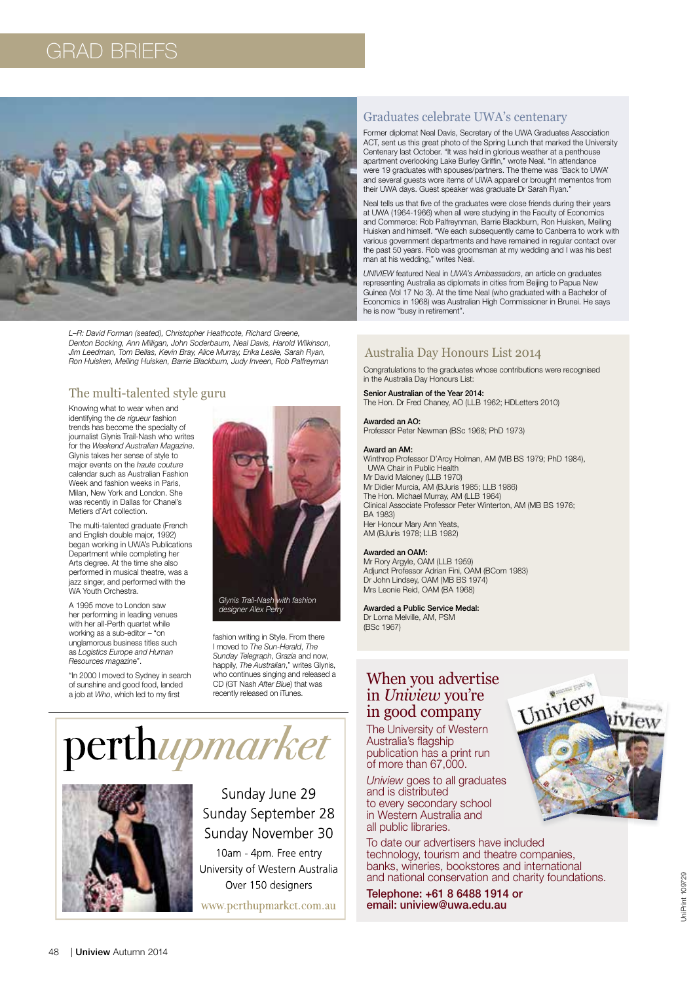### grad Briefs



*L–R: David Forman (seated), Christopher Heathcote, Richard Greene, Denton Bocking, Ann Milligan, John Soderbaum, Neal Davis, Harold Wilkinson, Jim Leedman, Tom Bellas, Kevin Bray, Alice Murray, Erika Leslie, Sarah Ryan, Ron Huisken, Meiling Huisken, Barrie Blackburn, Judy Inveen, Rob Palfreyman*

#### The multi-talented style guru

Knowing what to wear when and identifying the *de rigueur* fashion trends has become the specialty of journalist Glynis Trail-Nash who writes for the *Weekend Australian Magazine*. Glynis takes her sense of style to major events on the *haute couture* calendar such as Australian Fashion Week and fashion weeks in Paris, Milan, New York and London. She was recently in Dallas for Chanel's Metiers d'Art collection.

The multi-talented graduate (French and English double major, 1992) began working in UWA's Publications Department while completing her Arts degree. At the time she also performed in musical theatre, was a azz singer, and performed with the WA Youth Orchestra.

A 1995 move to London saw her performing in leading venues with her all-Perth quartet while working as a sub-editor – "on unglamorous business titles such as *Logistics Europe and Human Resources magazin*e".

"In 2000 I moved to Sydney in search of sunshine and good food, landed a job at *Who*, which led to my first



*designer Alex Perry*

fashion writing in Style. From there I moved to *The Sun-Herald*, *The Sunday Telegraph*, *Grazia* and now, happily, *The Australian*," writes Glynis, who continues singing and released a CD (GT Nash *After Blue*) that was recently released on iTunes.

# perthupmarket



Sunday June 29 Sunday September 28 Sunday November 30

10am - 4pm. Free entry University of Western Australia Over 150 designers

www.perthupmarket.com.au

#### Graduates celebrate UWA's centenary

Former diplomat Neal Davis, Secretary of the UWA Graduates Association ACT, sent us this great photo of the Spring Lunch that marked the University Centenary last October. "It was held in glorious weather at a penthouse apartment overlooking Lake Burley Griffin," wrote Neal. "In attendance were 19 graduates with spouses/partners. The theme was 'Back to UWA' and several guests wore items of UWA apparel or brought mementos from their UWA days. Guest speaker was graduate Dr Sarah Ryan.

Neal tells us that five of the graduates were close friends during their years at UWA (1964-1966) when all were studying in the Faculty of Economics and Commerce: Rob Palfreynman, Barrie Blackburn, Ron Huisken, Meiling Huisken and himself. "We each subsequently came to Canberra to work with various government departments and have remained in regular contact over the past 50 years. Rob was groomsman at my wedding and I was his best man at his wedding," writes Neal.

*UNIVIEW* featured Neal in *UWA's Ambassadors*, an article on graduates representing Australia as diplomats in cities from Beijing to Papua New Guinea (Vol 17 No 3). At the time Neal (who graduated with a Bachelor of Economics in 1968) was Australian High Commissioner in Brunei. He says he is now "busy in retirement".

#### Australia Day Honours List 2014

Congratulations to the graduates whose contributions were recognised in the Australia Day Honours List:

#### Senior Australian of the Year 2014:

The Hon. Dr Fred Chaney, AO (LLB 1962; HDLetters 2010)

#### Awarded an AO:

Professor Peter Newman (BSc 1968; PhD 1973)

#### Award an AM:

Winthrop Professor D'Arcy Holman, AM (MB BS 1979; PhD 1984), UWA Chair in Public Health Mr David Maloney (LLB 1970) Mr Didier Murcia, AM (BJuris 1985; LLB 1986) The Hon. Michael Murray, AM (LLB 1964) Clinical Associate Professor Peter Winterton, AM (MB BS 1976; BA 1983) Her Honour Mary Ann Yeats, AM (BJuris 1978; LLB 1982)

#### Awarded an OAM:

Mr Rory Argyle, OAM (LLB 1959) Adjunct Professor Adrian Fini, OAM (BCom 1983) Dr John Lindsey, OAM (MB BS 1974) Mrs Leonie Reid, OAM (BA 1968)

#### Awarded a Public Service Medal:

Dr Lorna Melville, AM, PSM (BSc 1967)

#### When you advertise in *Uniview* you're in good company

The University of Western Australia's flagship publication has a print run of more than 67,000.

*Uniview* goes to all graduates and is distributed to every secondary school in Western Australia and all public libraries.

To date our advertisers have included technology, tourism and theatre companies, banks, wineries, bookstores and international and national conservation and charity foundations.

Telephone: +61 8 6488 1914 or email: uniview@uwa.edu.au

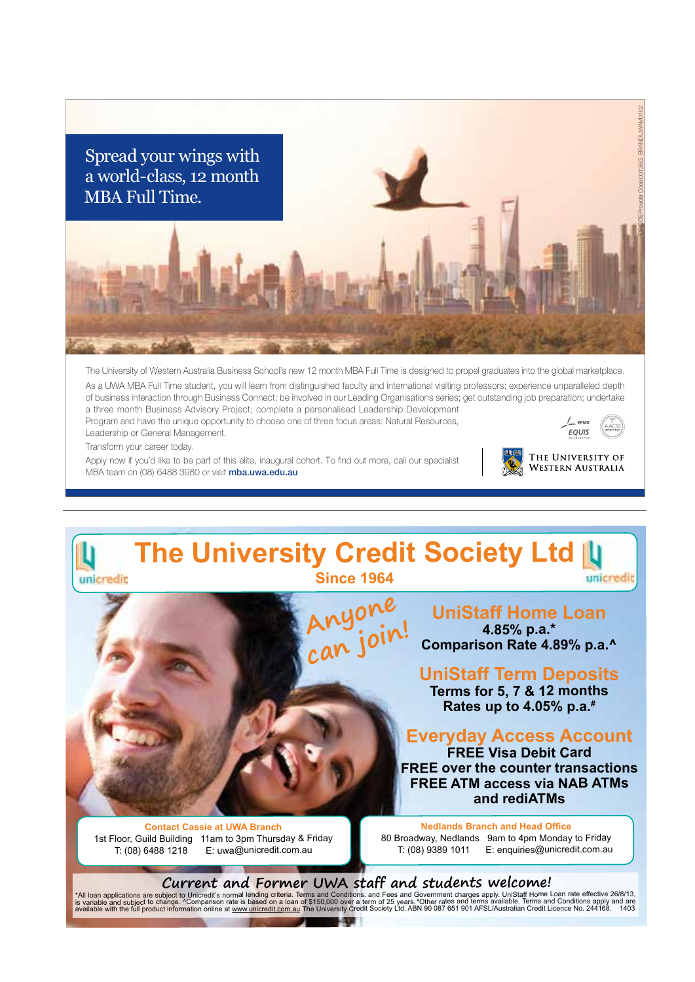

The University of Western Australia Business School's new 12 month MBA Full Time is designed to propel graduates into the global marketplace. As a UWA MBA Full Time student, you will learn from distinguished faculty and international visiting professors; experience unparalleled depth of business interaction through Business Connect; be involved in our Leading Organisations series; get outstanding job preparation; undertake a three month Business Advisory Project; complete a personalised Leadership Development Program and have the unique opportunity to choose one of three focus areas: Natural Resources,  $\sqrt{ }$  FFMI

**EOUIS** 

THE UNIVERSITY OF **WESTERN AUSTRALIA** 

Leadership or General Management.

Transform your career today.

Apply now if you'd like to be part of this elite, inaugural cohort. To find out more, call our specialist MBA team on (08) 6488 3980 or visit mba.uwa.edu.au